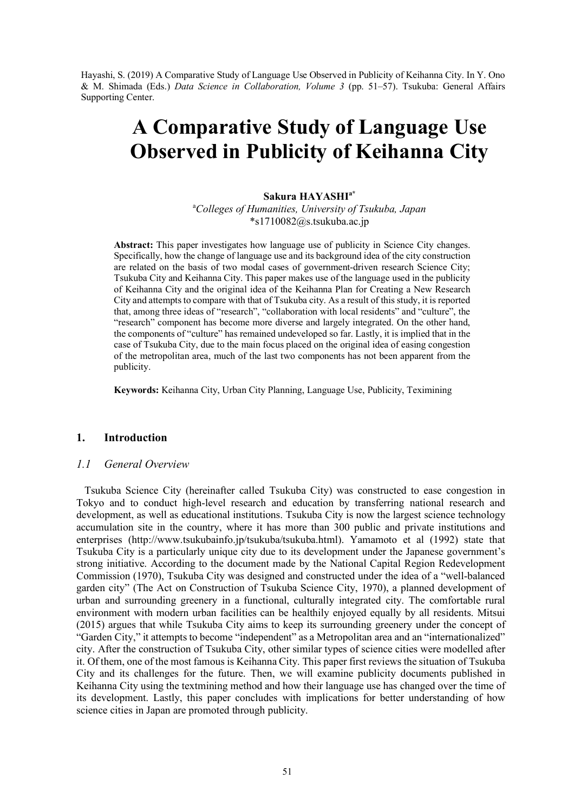Hayashi, S. (2019) A Comparative Study of Language Use Observed in Publicity of Keihanna City. In Y. Ono & M. Shimada (Eds.) *Data Science in Collaboration, Volume 3* (pp. 51–57). Tsukuba: General Affairs Supporting Center.

# **A Comparative Study of Language Use Observed in Publicity of Keihanna City**

#### **Sakura HAYASHIa\***

a *Colleges of Humanities, University of Tsukuba, Japan* \*s1710082@s.tsukuba.ac.jp

**Abstract:** This paper investigates how language use of publicity in Science City changes. Specifically, how the change of language use and its background idea of the city construction are related on the basis of two modal cases of government-driven research Science City; Tsukuba City and Keihanna City. This paper makes use of the language used in the publicity of Keihanna City and the original idea of the Keihanna Plan for Creating a New Research City and attempts to compare with that of Tsukuba city. As a result of this study, it is reported that, among three ideas of "research", "collaboration with local residents" and "culture", the "research" component has become more diverse and largely integrated. On the other hand, the components of "culture" has remained undeveloped so far. Lastly, it is implied that in the case of Tsukuba City, due to the main focus placed on the original idea of easing congestion of the metropolitan area, much of the last two components has not been apparent from the publicity.

**Keywords:** Keihanna City, Urban City Planning, Language Use, Publicity, Teximining

# **1. Introduction**

#### *1.1 General Overview*

 Tsukuba Science City (hereinafter called Tsukuba City) was constructed to ease congestion in Tokyo and to conduct high-level research and education by transferring national research and development, as well as educational institutions. Tsukuba City is now the largest science technology accumulation site in the country, where it has more than 300 public and private institutions and enterprises (http://www.tsukubainfo.jp/tsukuba/tsukuba.html). Yamamoto et al (1992) state that Tsukuba City is a particularly unique city due to its development under the Japanese government's strong initiative. According to the document made by the National Capital Region Redevelopment Commission (1970), Tsukuba City was designed and constructed under the idea of a "well-balanced garden city" (The Act on Construction of Tsukuba Science City, 1970), a planned development of urban and surrounding greenery in a functional, culturally integrated city. The comfortable rural environment with modern urban facilities can be healthily enjoyed equally by all residents. Mitsui (2015) argues that while Tsukuba City aims to keep its surrounding greenery under the concept of "Garden City," it attempts to become "independent" as a Metropolitan area and an "internationalized" city. After the construction of Tsukuba City, other similar types of science cities were modelled after it. Of them, one of the most famous is Keihanna City. This paper first reviews the situation of Tsukuba City and its challenges for the future. Then, we will examine publicity documents published in Keihanna City using the textmining method and how their language use has changed over the time of its development. Lastly, this paper concludes with implications for better understanding of how science cities in Japan are promoted through publicity.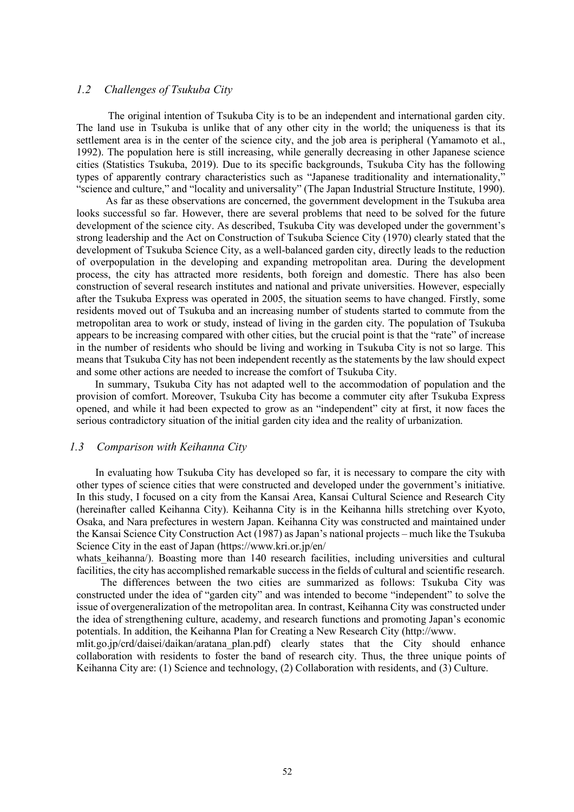#### *1.2 Challenges of Tsukuba City*

The original intention of Tsukuba City is to be an independent and international garden city. The land use in Tsukuba is unlike that of any other city in the world; the uniqueness is that its settlement area is in the center of the science city, and the job area is peripheral (Yamamoto et al., 1992). The population here is still increasing, while generally decreasing in other Japanese science cities (Statistics Tsukuba, 2019). Due to its specific backgrounds, Tsukuba City has the following types of apparently contrary characteristics such as "Japanese traditionality and internationality," "science and culture," and "locality and universality" (The Japan Industrial Structure Institute, 1990).

 As far as these observations are concerned, the government development in the Tsukuba area looks successful so far. However, there are several problems that need to be solved for the future development of the science city. As described, Tsukuba City was developed under the government's strong leadership and the Act on Construction of Tsukuba Science City (1970) clearly stated that the development of Tsukuba Science City, as a well-balanced garden city, directly leads to the reduction of overpopulation in the developing and expanding metropolitan area. During the development process, the city has attracted more residents, both foreign and domestic. There has also been construction of several research institutes and national and private universities. However, especially after the Tsukuba Express was operated in 2005, the situation seems to have changed. Firstly, some residents moved out of Tsukuba and an increasing number of students started to commute from the metropolitan area to work or study, instead of living in the garden city. The population of Tsukuba appears to be increasing compared with other cities, but the crucial point is that the "rate" of increase in the number of residents who should be living and working in Tsukuba City is not so large. This means that Tsukuba City has not been independent recently as the statements by the law should expect and some other actions are needed to increase the comfort of Tsukuba City.

 In summary, Tsukuba City has not adapted well to the accommodation of population and the provision of comfort. Moreover, Tsukuba City has become a commuter city after Tsukuba Express opened, and while it had been expected to grow as an "independent" city at first, it now faces the serious contradictory situation of the initial garden city idea and the reality of urbanization.

#### *1.3 Comparison with Keihanna City*

 In evaluating how Tsukuba City has developed so far, it is necessary to compare the city with other types of science cities that were constructed and developed under the government's initiative. In this study, I focused on a city from the Kansai Area, Kansai Cultural Science and Research City (hereinafter called Keihanna City). Keihanna City is in the Keihanna hills stretching over Kyoto, Osaka, and Nara prefectures in western Japan. Keihanna City was constructed and maintained under the Kansai Science City Construction Act (1987) as Japan's national projects – much like the Tsukuba Science City in the east of Japan (https://www.kri.or.jp/en/

whats keihanna/). Boasting more than 140 research facilities, including universities and cultural facilities, the city has accomplished remarkable success in the fields of cultural and scientific research.

 The differences between the two cities are summarized as follows: Tsukuba City was constructed under the idea of "garden city" and was intended to become "independent" to solve the issue of overgeneralization of the metropolitan area. In contrast, Keihanna City was constructed under the idea of strengthening culture, academy, and research functions and promoting Japan's economic potentials. In addition, the Keihanna Plan for Creating a New Research City (http://www.

mlit.go.jp/crd/daisei/daikan/aratana\_plan.pdf) clearly states that the City should enhance collaboration with residents to foster the band of research city. Thus, the three unique points of Keihanna City are: (1) Science and technology, (2) Collaboration with residents, and (3) Culture.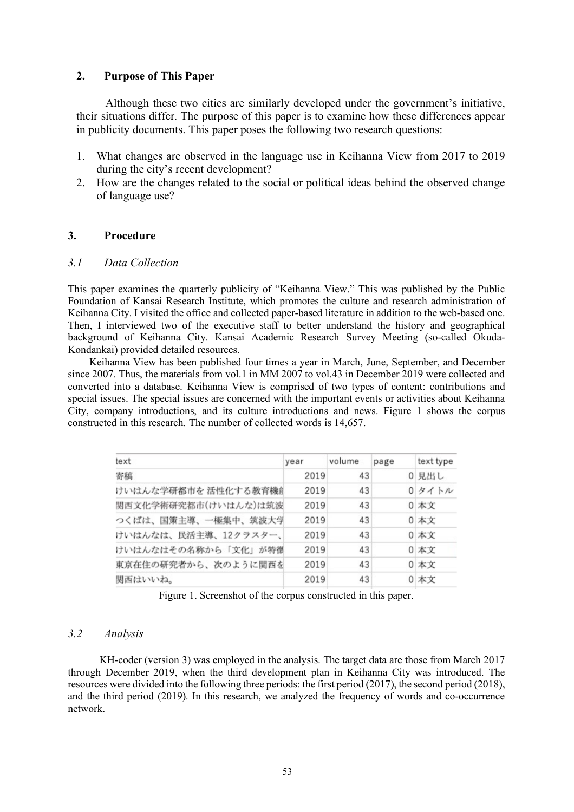#### **2. Purpose of This Paper**

Although these two cities are similarly developed under the government's initiative, their situations differ. The purpose of this paper is to examine how these differences appear in publicity documents. This paper poses the following two research questions:

- 1. What changes are observed in the language use in Keihanna View from 2017 to 2019 during the city's recent development?
- 2. How are the changes related to the social or political ideas behind the observed change of language use?

## **3. Procedure**

#### *3.1 Data Collection*

This paper examines the quarterly publicity of "Keihanna View." This was published by the Public Foundation of Kansai Research Institute, which promotes the culture and research administration of Keihanna City. I visited the office and collected paper-based literature in addition to the web-based one. Then, I interviewed two of the executive staff to better understand the history and geographical background of Keihanna City. Kansai Academic Research Survey Meeting (so-called Okuda-Kondankai) provided detailed resources.

 Keihanna View has been published four times a year in March, June, September, and December since 2007. Thus, the materials from vol.1 in MM 2007 to vol.43 in December 2019 were collected and converted into a database. Keihanna View is comprised of two types of content: contributions and special issues. The special issues are concerned with the important events or activities about Keihanna City, company introductions, and its culture introductions and news. Figure 1 shows the corpus constructed in this research. The number of collected words is 14,657.

| text                 | year | volume | page | text type |
|----------------------|------|--------|------|-----------|
| 寄稿                   | 2019 | 43     |      | 0 見出し     |
| けいはんな学研都市を 活性化する教育機創 | 2019 | 43     |      | 0タイトル     |
| 関西文化学術研究都市(けいはんな)は筑波 | 2019 | 43     |      | 0 本文      |
| つくばは、国策主導、一極集中、筑波大学  | 2019 | 43     |      | 0 本文      |
| けいはんなは、民活主導、12クラスター、 | 2019 | 43     |      | 0 本文      |
| けいはんなはその名称から「文化」が特徴  | 2019 | 43     |      | 0 本文      |
| 東京在住の研究者から、次のように関西を  | 2019 | 43     |      | 0 本文      |
| 関西はいいね。              | 2019 | 43     |      | 0 本文      |

Figure 1. Screenshot of the corpus constructed in this paper.

# *3.2 Analysis*

KH-coder (version 3) was employed in the analysis. The target data are those from March 2017 through December 2019, when the third development plan in Keihanna City was introduced. The resources were divided into the following three periods: the first period (2017), the second period (2018), and the third period (2019). In this research, we analyzed the frequency of words and co-occurrence network.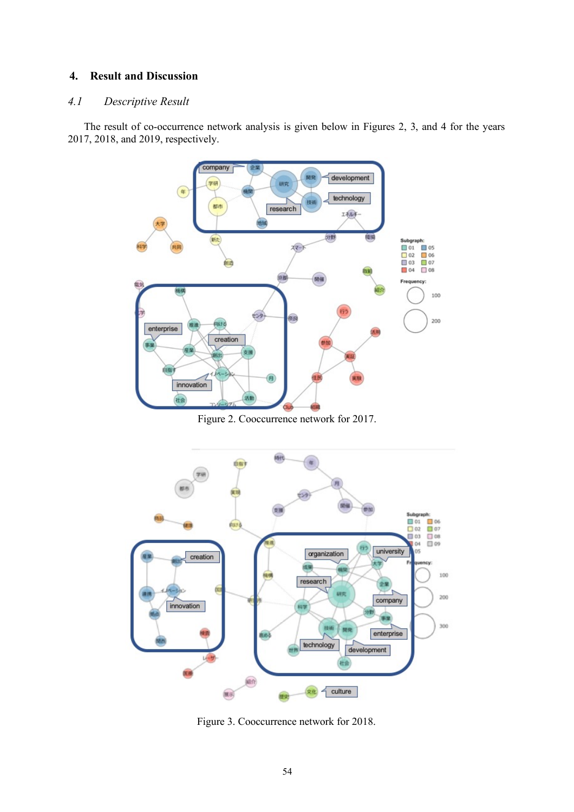## **4. Result and Discussion**

## *4.1 Descriptive Result*

 The result of co-occurrence network analysis is given below in Figures 2, 3, and 4 for the years 2017, 2018, and 2019, respectively.



Figure 2. Cooccurrence network for 2017.



Figure 3. Cooccurrence network for 2018.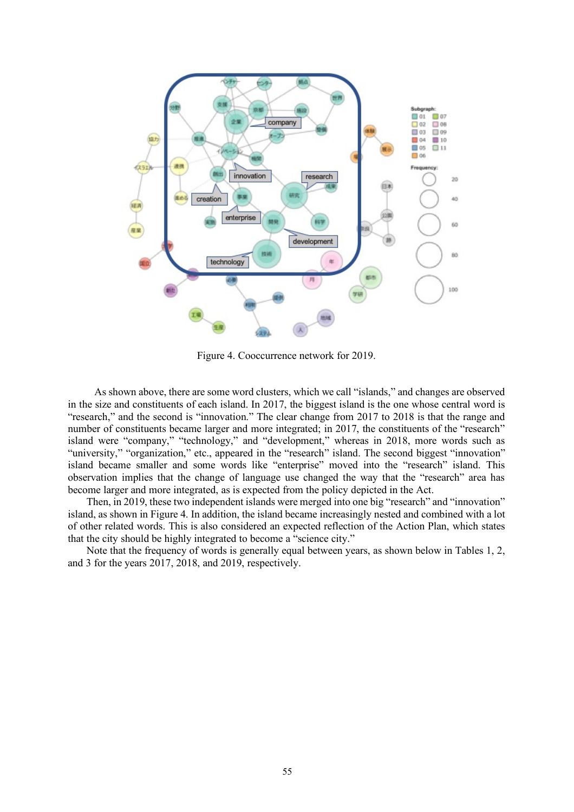

Figure 4. Cooccurrence network for 2019.

As shown above, there are some word clusters, which we call "islands," and changes are observed in the size and constituents of each island. In 2017, the biggest island is the one whose central word is "research," and the second is "innovation." The clear change from 2017 to 2018 is that the range and number of constituents became larger and more integrated; in 2017, the constituents of the "research" island were "company," "technology," and "development," whereas in 2018, more words such as "university," "organization," etc., appeared in the "research" island. The second biggest "innovation" island became smaller and some words like "enterprise" moved into the "research" island. This observation implies that the change of language use changed the way that the "research" area has become larger and more integrated, as is expected from the policy depicted in the Act.

 Then, in 2019, these two independent islands were merged into one big "research" and "innovation" island, as shown in Figure 4. In addition, the island became increasingly nested and combined with a lot of other related words. This is also considered an expected reflection of the Action Plan, which states that the city should be highly integrated to become a "science city."

 Note that the frequency of words is generally equal between years, as shown below in Tables 1, 2, and 3 for the years 2017, 2018, and 2019, respectively.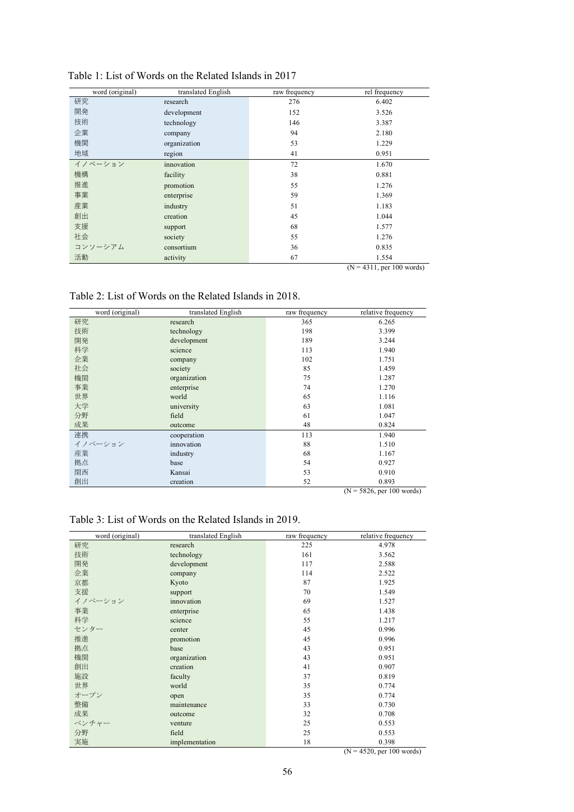| word (original) | translated English | raw frequency | rel frequency              |
|-----------------|--------------------|---------------|----------------------------|
| 研究              | research           | 276           | 6.402                      |
| 開発              | development        | 152           | 3.526                      |
| 技術              | technology         | 146           | 3.387                      |
| 企業              | company            | 94            | 2.180                      |
| 機関              | organization       | 53            | 1.229                      |
| 地域              | region             | 41            | 0.951                      |
| イノベーション         | innovation         | 72            | 1.670                      |
| 機構              | facility           | 38            | 0.881                      |
| 推進              | promotion          | 55            | 1.276                      |
| 事業              | enterprise         | 59            | 1.369                      |
| 産業              | industry           | 51            | 1.183                      |
| 創出              | creation           | 45            | 1.044                      |
| 支援              | support            | 68            | 1.577                      |
| 社会              | society            | 55            | 1.276                      |
| コンソーシアム         | consortium         | 36            | 0.835                      |
| 活動              | activity           | 67            | 1.554                      |
|                 |                    |               | $(N = 4211$ nor 100 words) |

## Table 1: List of Words on the Related Islands in 2017

(N = 4311, per 100 words)

Table 2: List of Words on the Related Islands in 2018.

|    | word (original) | translated English | raw frequency | relative frequency |
|----|-----------------|--------------------|---------------|--------------------|
| 研究 |                 | research           | 365           | 6.265              |
| 技術 |                 | technology         | 198           | 3.399              |
| 開発 |                 | development        | 189           | 3.244              |
| 科学 |                 | science            | 113           | 1.940              |
| 企業 |                 | company            | 102           | 1.751              |
| 社会 |                 | society            | 85            | 1.459              |
| 機関 |                 | organization       | 75            | 1.287              |
| 事業 |                 | enterprise         | 74            | 1.270              |
| 世界 |                 | world              | 65            | 1.116              |
| 大学 |                 | university         | 63            | 1.081              |
| 分野 |                 | field              | 61            | 1.047              |
| 成果 |                 | outcome            | 48            | 0.824              |
| 連携 |                 | cooperation        | 113           | 1.940              |
|    | イノベーション         | innovation         | 88            | 1.510              |
| 産業 |                 | industry           | 68            | 1.167              |
| 拠点 |                 | base               | 54            | 0.927              |
| 関西 |                 | Kansai             | 53            | 0.910              |
| 創出 |                 | creation           | 52            | 0.893              |

(N = 5826, per 100 words)

# Table 3: List of Words on the Related Islands in 2019.

| word (original) | translated English | raw frequency | relative frequency                                               |
|-----------------|--------------------|---------------|------------------------------------------------------------------|
| 研究              | research           | 225           | 4.978                                                            |
| 技術              | technology         | 161           | 3.562                                                            |
| 開発              | development        | 117           | 2.588                                                            |
| 企業              | company            | 114           | 2.522                                                            |
| 京都              | Kyoto              | 87            | 1.925                                                            |
| 支援              | support            | 70            | 1.549                                                            |
| イノベーション         | innovation         | 69            | 1.527                                                            |
| 事業              | enterprise         | 65            | 1.438                                                            |
| 科学              | science            | 55            | 1.217                                                            |
| センター            | center             | 45            | 0.996                                                            |
| 推進              | promotion          | 45            | 0.996                                                            |
| 拠点              | base               | 43            | 0.951                                                            |
| 機関              | organization       | 43            | 0.951                                                            |
| 創出              | creation           | 41            | 0.907                                                            |
| 施設              | faculty            | 37            | 0.819                                                            |
| 世界              | world              | 35            | 0.774                                                            |
| オープン            | open               | 35            | 0.774                                                            |
| 整備              | maintenance        | 33            | 0.730                                                            |
| 成果              | outcome            | 32            | 0.708                                                            |
| ベンチャー           | venture            | 25            | 0.553                                                            |
| 分野              | field              | 25            | 0.553                                                            |
| 実施              | implementation     | 18            | 0.398<br>$\sim$ $\times$<br>$\sim$ $  -$<br>$\sim$ $\sim$ $\sim$ |

(N = 4520, per 100 words)